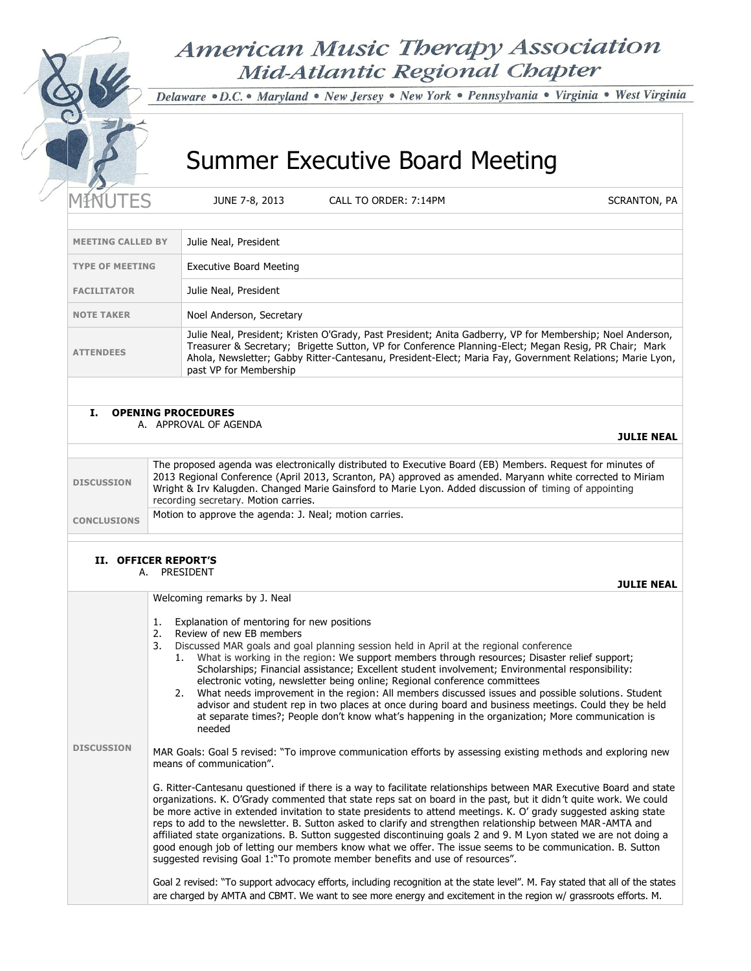# **American Music Therapy Association** Mid-Atlantic Regional Chapter

Delaware · D.C. • Maryland · New Jersey · New York · Pennsylvania · Virginia · West Virginia

# Summer Executive Board Meeting

JUNE 7-8, 2013 CALL TO ORDER: 7:14PM SCRANTON, PA

**JULIE NEAL**

**JULIE NEAL** 

| <b>MEETING CALLED BY</b> | Julie Neal, President                                                                                                                                                                                                                                                                                                                                    |
|--------------------------|----------------------------------------------------------------------------------------------------------------------------------------------------------------------------------------------------------------------------------------------------------------------------------------------------------------------------------------------------------|
| <b>TYPE OF MEETING</b>   | Executive Board Meeting                                                                                                                                                                                                                                                                                                                                  |
| <b>FACILITATOR</b>       | Julie Neal, President                                                                                                                                                                                                                                                                                                                                    |
| <b>NOTE TAKER</b>        | Noel Anderson, Secretary                                                                                                                                                                                                                                                                                                                                 |
| <b>ATTENDEES</b>         | Julie Neal, President; Kristen O'Grady, Past President; Anita Gadberry, VP for Membership; Noel Anderson,<br>Treasurer & Secretary; Brigette Sutton, VP for Conference Planning-Elect; Megan Resig, PR Chair; Mark<br>Ahola, Newsletter; Gabby Ritter-Cantesanu, President-Elect; Maria Fay, Government Relations; Marie Lyon,<br>past VP for Membership |
|                          |                                                                                                                                                                                                                                                                                                                                                          |

# **I. OPENING PROCEDURES**

A. APPROVAL OF AGENDA

| <b>DISCUSSION</b>  | The proposed agenda was electronically distributed to Executive Board (EB) Members. Request for minutes of<br>2013 Regional Conference (April 2013, Scranton, PA) approved as amended. Maryann white corrected to Miriam<br>Wright & Irv Kalugden. Changed Marie Gainsford to Marie Lyon. Added discussion of timing of appointing<br>recording secretary. Motion carries. |
|--------------------|----------------------------------------------------------------------------------------------------------------------------------------------------------------------------------------------------------------------------------------------------------------------------------------------------------------------------------------------------------------------------|
| <b>CONCLUSIONS</b> | Motion to approve the agenda: J. Neal; motion carries.                                                                                                                                                                                                                                                                                                                     |

# **II. OFFICER REPORT'S**

A. PRESIDENT

**DISCUSSION** Welcoming remarks by J. Neal 1. Explanation of mentoring for new positions 2. Review of new EB members 3. Discussed MAR goals and goal planning session held in April at the regional conference 1. What is working in the region: We support members through resources; Disaster relief support; Scholarships; Financial assistance; Excellent student involvement; Environmental responsibility: electronic voting, newsletter being online; Regional conference committees 2. What needs improvement in the region: All members discussed issues and possible solutions. Student advisor and student rep in two places at once during board and business meetings. Could they be held at separate times?; People don't know what's happening in the organization; More communication is needed MAR Goals: Goal 5 revised: "To improve communication efforts by assessing existing methods and exploring new means of communication". G. Ritter-Cantesanu questioned if there is a way to facilitate relationships between MAR Executive Board and state organizations. K. O'Grady commented that state reps sat on board in the past, but it didn't quite work. We could be more active in extended invitation to state presidents to attend meetings. K. O' grady suggested asking state reps to add to the newsletter. B. Sutton asked to clarify and strengthen relationship between MAR -AMTA and affiliated state organizations. B. Sutton suggested discontinuing goals 2 and 9. M Lyon stated we are not doing a good enough job of letting our members know what we offer. The issue seems to be communication. B. Sutton suggested revising Goal 1:"To promote member benefits and use of resources". Goal 2 revised: "To support advocacy efforts, including recognition at the state level". M. Fay stated that all of the states are charged by AMTA and CBMT. We want to see more energy and excitement in the region w/ grassroots efforts. M.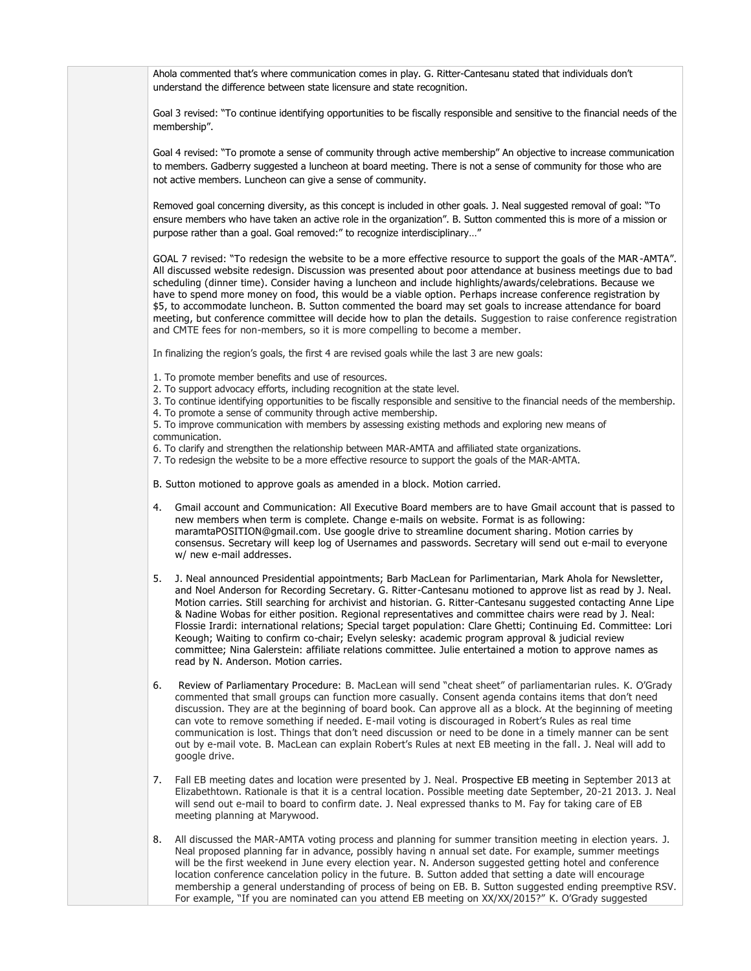Ahola commented that's where communication comes in play. G. Ritter-Cantesanu stated that individuals don't understand the difference between state licensure and state recognition.

Goal 3 revised: "To continue identifying opportunities to be fiscally responsible and sensitive to the financial needs of the membership".

Goal 4 revised: "To promote a sense of community through active membership" An objective to increase communication to members. Gadberry suggested a luncheon at board meeting. There is not a sense of community for those who are not active members. Luncheon can give a sense of community.

Removed goal concerning diversity, as this concept is included in other goals. J. Neal suggested removal of goal: "To ensure members who have taken an active role in the organization". B. Sutton commented this is more of a mission or purpose rather than a goal. Goal removed:" to recognize interdisciplinary…"

GOAL 7 revised: "To redesign the website to be a more effective resource to support the goals of the MAR -AMTA". All discussed website redesign. Discussion was presented about poor attendance at business meetings due to bad scheduling (dinner time). Consider having a luncheon and include highlights/awards/celebrations. Because we have to spend more money on food, this would be a viable option. Perhaps increase conference registration by \$5, to accommodate luncheon. B. Sutton commented the board may set goals to increase attendance for board meeting, but conference committee will decide how to plan the details. Suggestion to raise conference registration and CMTE fees for non-members, so it is more compelling to become a member.

In finalizing the region's goals, the first 4 are revised goals while the last 3 are new goals:

- 1. To promote member benefits and use of resources.
- 2. To support advocacy efforts, including recognition at the state level.
- 3. To continue identifying opportunities to be fiscally responsible and sensitive to the financial needs of the membership.
- 4. To promote a sense of community through active membership.

5. To improve communication with members by assessing existing methods and exploring new means of communication.

6. To clarify and strengthen the relationship between MAR-AMTA and affiliated state organizations.

- 7. To redesign the website to be a more effective resource to support the goals of the MAR-AMTA.
- B. Sutton motioned to approve goals as amended in a block. Motion carried.
- 4. Gmail account and Communication: All Executive Board members are to have Gmail account that is passed to new members when term is complete. Change e-mails on website. Format is as following: maramtaPOSITION@gmail.com. Use google drive to streamline document sharing. Motion carries by consensus. Secretary will keep log of Usernames and passwords. Secretary will send out e-mail to everyone w/ new e-mail addresses.
- 5. J. Neal announced Presidential appointments; Barb MacLean for Parlimentarian, Mark Ahola for Newsletter, and Noel Anderson for Recording Secretary. G. Ritter-Cantesanu motioned to approve list as read by J. Neal. Motion carries. Still searching for archivist and historian. G. Ritter-Cantesanu suggested contacting Anne Lipe & Nadine Wobas for either position. Regional representatives and committee chairs were read by J. Neal: Flossie Irardi: international relations; Special target population: Clare Ghetti; Continuing Ed. Committee: Lori Keough; Waiting to confirm co-chair; Evelyn selesky: academic program approval & judicial review committee; Nina Galerstein: affiliate relations committee. Julie entertained a motion to approve names as read by N. Anderson. Motion carries.
- 6. Review of Parliamentary Procedure: B. MacLean will send "cheat sheet" of parliamentarian rules. K. O'Grady commented that small groups can function more casually. Consent agenda contains items that don't need discussion. They are at the beginning of board book. Can approve all as a block. At the beginning of meeting can vote to remove something if needed. E-mail voting is discouraged in Robert's Rules as real time communication is lost. Things that don't need discussion or need to be done in a timely manner can be sent out by e-mail vote. B. MacLean can explain Robert's Rules at next EB meeting in the fall. J. Neal will add to google drive.
- 7. Fall EB meeting dates and location were presented by J. Neal. Prospective EB meeting in September 2013 at Elizabethtown. Rationale is that it is a central location. Possible meeting date September, 20-21 2013. J. Neal will send out e-mail to board to confirm date. J. Neal expressed thanks to M. Fay for taking care of EB meeting planning at Marywood.
- 8. All discussed the MAR-AMTA voting process and planning for summer transition meeting in election years. J. Neal proposed planning far in advance, possibly having n annual set date. For example, summer meetings will be the first weekend in June every election year. N. Anderson suggested getting hotel and conference location conference cancelation policy in the future. B. Sutton added that setting a date will encourage membership a general understanding of process of being on EB. B. Sutton suggested ending preemptive RSV. For example, "If you are nominated can you attend EB meeting on XX/XX/2015?" K. O'Grady suggested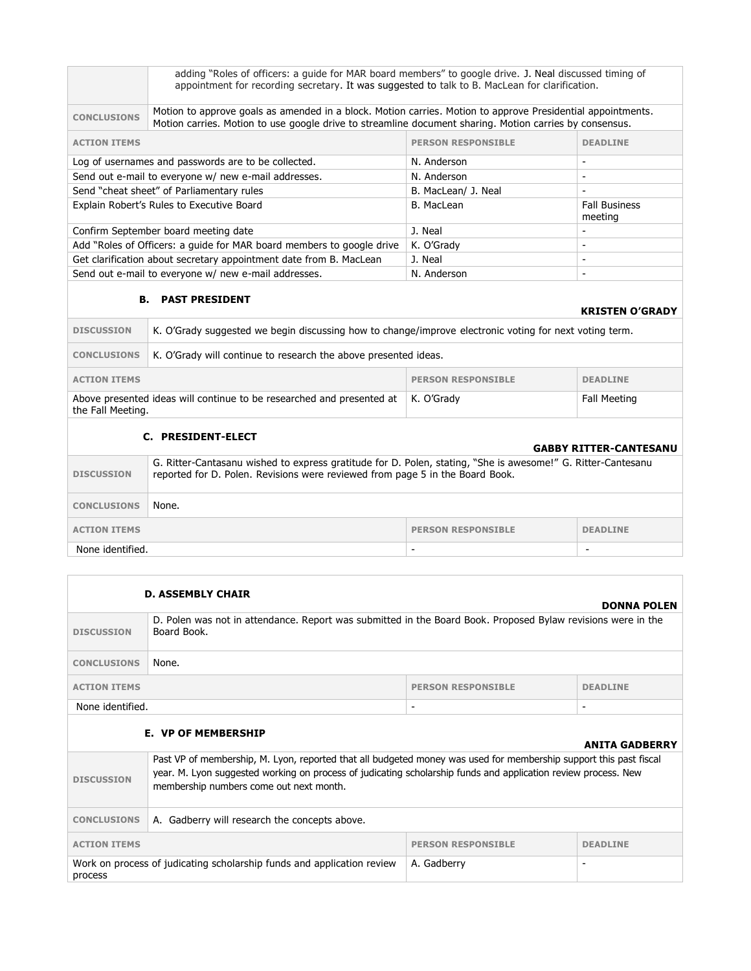| adding "Roles of officers: a quide for MAR board members" to google drive. J. Neal discussed timing of<br>appointment for recording secretary. It was suggested to talk to B. MacLean for clarification.               |                     |                                 |  |
|------------------------------------------------------------------------------------------------------------------------------------------------------------------------------------------------------------------------|---------------------|---------------------------------|--|
| Motion to approve goals as amended in a block. Motion carries. Motion to approve Presidential appointments.<br>Motion carries. Motion to use google drive to streamline document sharing. Motion carries by consensus. |                     |                                 |  |
| <b>ACTION ITEMS</b><br><b>PERSON RESPONSIBLE</b><br><b>DEADLINE</b>                                                                                                                                                    |                     |                                 |  |
| Log of usernames and passwords are to be collected.<br>N. Anderson                                                                                                                                                     |                     |                                 |  |
| Send out e-mail to everyone w/ new e-mail addresses.                                                                                                                                                                   | N. Anderson         | -                               |  |
| Send "cheat sheet" of Parliamentary rules                                                                                                                                                                              | B. MacLean/ J. Neal |                                 |  |
| Explain Robert's Rules to Executive Board                                                                                                                                                                              | B. MacLean          | <b>Fall Business</b><br>meeting |  |
| Confirm September board meeting date                                                                                                                                                                                   | J. Neal             | $\overline{\phantom{0}}$        |  |
| Add "Roles of Officers: a quide for MAR board members to google drive                                                                                                                                                  | K. O'Grady          | -                               |  |
| Get clarification about secretary appointment date from B. MacLean<br>J. Neal<br>$\overline{\phantom{0}}$                                                                                                              |                     |                                 |  |
| Send out e-mail to everyone w/ new e-mail addresses.<br>N. Anderson<br>$\overline{\phantom{0}}$                                                                                                                        |                     |                                 |  |
|                                                                                                                                                                                                                        |                     |                                 |  |

# **B. PAST PRESIDENT**

|                     | .                                                                                                      |                           | <b>KRISTEN O'GRADY</b> |
|---------------------|--------------------------------------------------------------------------------------------------------|---------------------------|------------------------|
| <b>DISCUSSION</b>   | K. O'Grady suggested we begin discussing how to change/improve electronic voting for next voting term. |                           |                        |
| <b>CONCLUSIONS</b>  | K. O'Grady will continue to research the above presented ideas.                                        |                           |                        |
| <b>ACTION ITEMS</b> |                                                                                                        | <b>PERSON RESPONSIBLE</b> | <b>DEADLINE</b>        |

Above presented ideas will continue to be researched and presented at the Fall Meeting. Fall Meeting

# **C. PRESIDENT-ELECT**

| <b>GABBY RITTER-CANTESANU</b>                                       |                                                                                                                                                                                               |  |  |
|---------------------------------------------------------------------|-----------------------------------------------------------------------------------------------------------------------------------------------------------------------------------------------|--|--|
| <b>DISCUSSION</b>                                                   | G. Ritter-Cantasanu wished to express gratitude for D. Polen, stating, "She is awesome!" G. Ritter-Cantesanu<br>reported for D. Polen. Revisions were reviewed from page 5 in the Board Book. |  |  |
| <b>CONCLUSIONS</b>                                                  | None.                                                                                                                                                                                         |  |  |
| <b>ACTION ITEMS</b><br><b>PERSON RESPONSIBLE</b><br><b>DEADLINE</b> |                                                                                                                                                                                               |  |  |
| None identified.                                                    |                                                                                                                                                                                               |  |  |

| <b>D. ASSEMBLY CHAIR</b><br><b>DONNA POLEN</b>                                                                                                                                                                                                                                                      |                                                                                                                             |                           |                          |
|-----------------------------------------------------------------------------------------------------------------------------------------------------------------------------------------------------------------------------------------------------------------------------------------------------|-----------------------------------------------------------------------------------------------------------------------------|---------------------------|--------------------------|
| <b>DISCUSSION</b>                                                                                                                                                                                                                                                                                   | D. Polen was not in attendance. Report was submitted in the Board Book. Proposed Bylaw revisions were in the<br>Board Book. |                           |                          |
| <b>CONCLUSIONS</b>                                                                                                                                                                                                                                                                                  | None.                                                                                                                       |                           |                          |
| <b>ACTION ITEMS</b>                                                                                                                                                                                                                                                                                 |                                                                                                                             | <b>PERSON RESPONSIBLE</b> | <b>DEADLINE</b>          |
| None identified.                                                                                                                                                                                                                                                                                    |                                                                                                                             | $\overline{\phantom{a}}$  | $\overline{\phantom{a}}$ |
|                                                                                                                                                                                                                                                                                                     | <b>E. VP OF MEMBERSHIP</b>                                                                                                  |                           | <b>ANITA GADBERRY</b>    |
| Past VP of membership, M. Lyon, reported that all budgeted money was used for membership support this past fiscal<br>year. M. Lyon suggested working on process of judicating scholarship funds and application review process. New<br><b>DISCUSSION</b><br>membership numbers come out next month. |                                                                                                                             |                           |                          |
| A. Gadberry will research the concepts above.<br><b>CONCLUSIONS</b>                                                                                                                                                                                                                                 |                                                                                                                             |                           |                          |
| <b>ACTION ITEMS</b>                                                                                                                                                                                                                                                                                 |                                                                                                                             | <b>PERSON RESPONSIBLE</b> | <b>DEADLINE</b>          |
| Work on process of judicating scholarship funds and application review<br>A. Gadberry<br>۰<br>process                                                                                                                                                                                               |                                                                                                                             |                           |                          |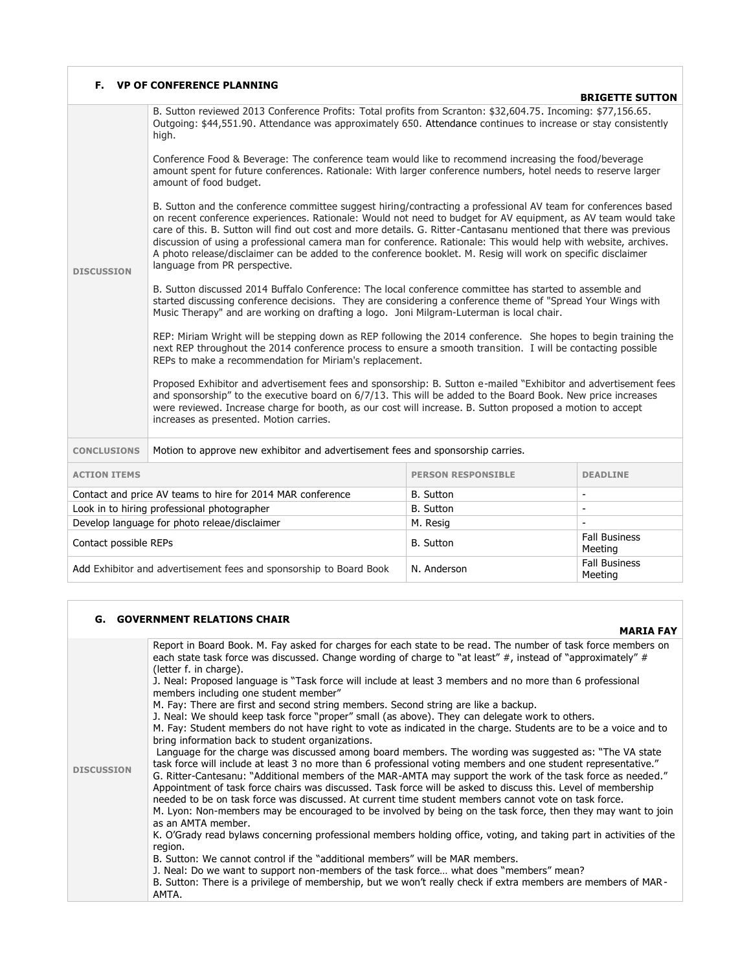| Е.                                                                 | <b>VP OF CONFERENCE PLANNING</b>                                                                                                                                                                                                                                                                                                                                                                                                                                                                                                                                                                                           |                           | <b>BRIGETTE SUTTON</b>          |  |
|--------------------------------------------------------------------|----------------------------------------------------------------------------------------------------------------------------------------------------------------------------------------------------------------------------------------------------------------------------------------------------------------------------------------------------------------------------------------------------------------------------------------------------------------------------------------------------------------------------------------------------------------------------------------------------------------------------|---------------------------|---------------------------------|--|
|                                                                    | B. Sutton reviewed 2013 Conference Profits: Total profits from Scranton: \$32,604.75. Incoming: \$77,156.65.<br>Outgoing: \$44,551.90. Attendance was approximately 650. Attendance continues to increase or stay consistently<br>high.                                                                                                                                                                                                                                                                                                                                                                                    |                           |                                 |  |
| <b>DISCUSSION</b>                                                  | Conference Food & Beverage: The conference team would like to recommend increasing the food/beverage<br>amount spent for future conferences. Rationale: With larger conference numbers, hotel needs to reserve larger<br>amount of food budget.                                                                                                                                                                                                                                                                                                                                                                            |                           |                                 |  |
|                                                                    | B. Sutton and the conference committee suggest hiring/contracting a professional AV team for conferences based<br>on recent conference experiences. Rationale: Would not need to budget for AV equipment, as AV team would take<br>care of this. B. Sutton will find out cost and more details. G. Ritter-Cantasanu mentioned that there was previous<br>discussion of using a professional camera man for conference. Rationale: This would help with website, archives.<br>A photo release/disclaimer can be added to the conference booklet. M. Resig will work on specific disclaimer<br>language from PR perspective. |                           |                                 |  |
|                                                                    | B. Sutton discussed 2014 Buffalo Conference: The local conference committee has started to assemble and<br>started discussing conference decisions. They are considering a conference theme of "Spread Your Wings with<br>Music Therapy" and are working on drafting a logo. Joni Milgram-Luterman is local chair.                                                                                                                                                                                                                                                                                                         |                           |                                 |  |
|                                                                    | REP: Miriam Wright will be stepping down as REP following the 2014 conference. She hopes to begin training the<br>next REP throughout the 2014 conference process to ensure a smooth transition. I will be contacting possible<br>REPs to make a recommendation for Miriam's replacement.                                                                                                                                                                                                                                                                                                                                  |                           |                                 |  |
|                                                                    | Proposed Exhibitor and advertisement fees and sponsorship: B. Sutton e-mailed "Exhibitor and advertisement fees<br>and sponsorship" to the executive board on 6/7/13. This will be added to the Board Book. New price increases<br>were reviewed. Increase charge for booth, as our cost will increase. B. Sutton proposed a motion to accept<br>increases as presented. Motion carries.                                                                                                                                                                                                                                   |                           |                                 |  |
| <b>CONCLUSIONS</b>                                                 | Motion to approve new exhibitor and advertisement fees and sponsorship carries.                                                                                                                                                                                                                                                                                                                                                                                                                                                                                                                                            |                           |                                 |  |
| <b>ACTION ITEMS</b>                                                |                                                                                                                                                                                                                                                                                                                                                                                                                                                                                                                                                                                                                            | <b>PERSON RESPONSIBLE</b> | <b>DEADLINE</b>                 |  |
| Contact and price AV teams to hire for 2014 MAR conference         |                                                                                                                                                                                                                                                                                                                                                                                                                                                                                                                                                                                                                            | <b>B.</b> Sutton          | $\overline{\phantom{a}}$        |  |
| Look in to hiring professional photographer                        |                                                                                                                                                                                                                                                                                                                                                                                                                                                                                                                                                                                                                            | <b>B.</b> Sutton          | $\blacksquare$                  |  |
| Develop language for photo releae/disclaimer                       |                                                                                                                                                                                                                                                                                                                                                                                                                                                                                                                                                                                                                            | M. Resig                  | $\sim$                          |  |
| Contact possible REPs                                              |                                                                                                                                                                                                                                                                                                                                                                                                                                                                                                                                                                                                                            | <b>B.</b> Sutton          | <b>Fall Business</b><br>Meeting |  |
| Add Exhibitor and advertisement fees and sponsorship to Board Book |                                                                                                                                                                                                                                                                                                                                                                                                                                                                                                                                                                                                                            | N. Anderson               | <b>Fall Business</b><br>Meeting |  |

# **G. GOVERNMENT RELATIONS CHAIR**

#### **MARIA FAY**

| <b>DISCUSSION</b> | Report in Board Book. M. Fay asked for charges for each state to be read. The number of task force members on<br>each state task force was discussed. Change wording of charge to "at least" #, instead of "approximately" #<br>(letter f. in charge).<br>J. Neal: Proposed language is "Task force will include at least 3 members and no more than 6 professional<br>members including one student member"<br>M. Fay: There are first and second string members. Second string are like a backup.<br>J. Neal: We should keep task force "proper" small (as above). They can delegate work to others.<br>M. Fay: Student members do not have right to vote as indicated in the charge. Students are to be a voice and to<br>bring information back to student organizations.<br>Language for the charge was discussed among board members. The wording was suggested as: "The VA state<br>task force will include at least 3 no more than 6 professional voting members and one student representative."<br>G. Ritter-Cantesanu: "Additional members of the MAR-AMTA may support the work of the task force as needed."<br>Appointment of task force chairs was discussed. Task force will be asked to discuss this. Level of membership<br>needed to be on task force was discussed. At current time student members cannot vote on task force.<br>M. Lyon: Non-members may be encouraged to be involved by being on the task force, then they may want to join<br>as an AMTA member.<br>K. O'Grady read bylaws concerning professional members holding office, voting, and taking part in activities of the<br>region.<br>B. Sutton: We cannot control if the "additional members" will be MAR members.<br>J. Neal: Do we want to support non-members of the task force what does "members" mean?<br>B. Sutton: There is a privilege of membership, but we won't really check if extra members are members of MAR-<br>AMTA. |
|-------------------|--------------------------------------------------------------------------------------------------------------------------------------------------------------------------------------------------------------------------------------------------------------------------------------------------------------------------------------------------------------------------------------------------------------------------------------------------------------------------------------------------------------------------------------------------------------------------------------------------------------------------------------------------------------------------------------------------------------------------------------------------------------------------------------------------------------------------------------------------------------------------------------------------------------------------------------------------------------------------------------------------------------------------------------------------------------------------------------------------------------------------------------------------------------------------------------------------------------------------------------------------------------------------------------------------------------------------------------------------------------------------------------------------------------------------------------------------------------------------------------------------------------------------------------------------------------------------------------------------------------------------------------------------------------------------------------------------------------------------------------------------------------------------------------------------------------------------------------------------------------------------------------------------------------------------------|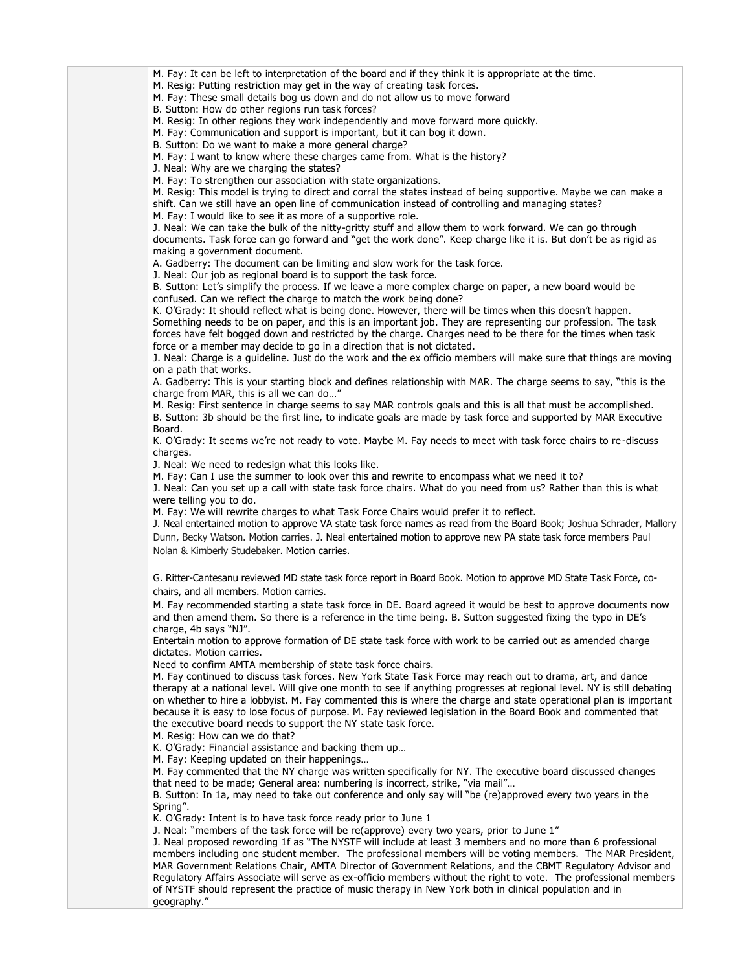M. Fay: It can be left to interpretation of the board and if they think it is appropriate at the time.

M. Resig: Putting restriction may get in the way of creating task forces.

M. Fay: These small details bog us down and do not allow us to move forward

B. Sutton: How do other regions run task forces?

M. Resig: In other regions they work independently and move forward more quickly.

M. Fay: Communication and support is important, but it can bog it down.

B. Sutton: Do we want to make a more general charge?

M. Fay: I want to know where these charges came from. What is the history?

J. Neal: Why are we charging the states?

M. Fay: To strengthen our association with state organizations.

M. Resig: This model is trying to direct and corral the states instead of being supportive. Maybe we can make a

shift. Can we still have an open line of communication instead of controlling and managing states?

M. Fay: I would like to see it as more of a supportive role.

J. Neal: We can take the bulk of the nitty-gritty stuff and allow them to work forward. We can go through documents. Task force can go forward and "get the work done". Keep charge like it is. But don't be as rigid as making a government document.

A. Gadberry: The document can be limiting and slow work for the task force.

J. Neal: Our job as regional board is to support the task force.

B. Sutton: Let's simplify the process. If we leave a more complex charge on paper, a new board would be confused. Can we reflect the charge to match the work being done?

K. O'Grady: It should reflect what is being done. However, there will be times when this doesn't happen. Something needs to be on paper, and this is an important job. They are representing our profession. The task forces have felt bogged down and restricted by the charge. Charges need to be there for the times when task force or a member may decide to go in a direction that is not dictated.

J. Neal: Charge is a guideline. Just do the work and the ex officio members will make sure that things are moving on a path that works.

A. Gadberry: This is your starting block and defines relationship with MAR. The charge seems to say, "this is the charge from MAR, this is all we can do…"

M. Resig: First sentence in charge seems to say MAR controls goals and this is all that must be accompli shed. B. Sutton: 3b should be the first line, to indicate goals are made by task force and supported by MAR Executive Board.

K. O'Grady: It seems we're not ready to vote. Maybe M. Fay needs to meet with task force chairs to re -discuss charges.

J. Neal: We need to redesign what this looks like.

M. Fay: Can I use the summer to look over this and rewrite to encompass what we need it to?

J. Neal: Can you set up a call with state task force chairs. What do you need from us? Rather than this is what were telling you to do.

M. Fay: We will rewrite charges to what Task Force Chairs would prefer it to reflect.

J. Neal entertained motion to approve VA state task force names as read from the Board Book; Joshua Schrader, Mallory Dunn, Becky Watson. Motion carries. J. Neal entertained motion to approve new PA state task force members Paul Nolan & Kimberly Studebaker. Motion carries.

G. Ritter-Cantesanu reviewed MD state task force report in Board Book. Motion to approve MD State Task Force, cochairs, and all members. Motion carries.

M. Fay recommended starting a state task force in DE. Board agreed it would be best to approve documents now and then amend them. So there is a reference in the time being. B. Sutton suggested fixing the typo in DE's charge, 4b says "NJ".

Entertain motion to approve formation of DE state task force with work to be carried out as amended charge dictates. Motion carries.

Need to confirm AMTA membership of state task force chairs.

M. Fay continued to discuss task forces. New York State Task Force may reach out to drama, art, and dance therapy at a national level. Will give one month to see if anything progresses at regional level. NY is still debating on whether to hire a lobbyist. M. Fay commented this is where the charge and state operational plan is important because it is easy to lose focus of purpose. M. Fay reviewed legislation in the Board Book and commented that the executive board needs to support the NY state task force.

M. Resig: How can we do that?

K. O'Grady: Financial assistance and backing them up…

M. Fay: Keeping updated on their happenings…

M. Fay commented that the NY charge was written specifically for NY. The executive board discussed changes that need to be made; General area: numbering is incorrect, strike, "via mail"…

B. Sutton: In 1a, may need to take out conference and only say will "be (re)approved every two years in the Spring".

K. O'Grady: Intent is to have task force ready prior to June 1

J. Neal: "members of the task force will be re(approve) every two years, prior to June 1"

J. Neal proposed rewording 1f as "The NYSTF will include at least 3 members and no more than 6 professional members including one student member. The professional members will be voting members. The MAR President, MAR Government Relations Chair, AMTA Director of Government Relations, and the CBMT Regulatory Advisor and Regulatory Affairs Associate will serve as ex-officio members without the right to vote. The professional members of NYSTF should represent the practice of music therapy in New York both in clinical population and in geography."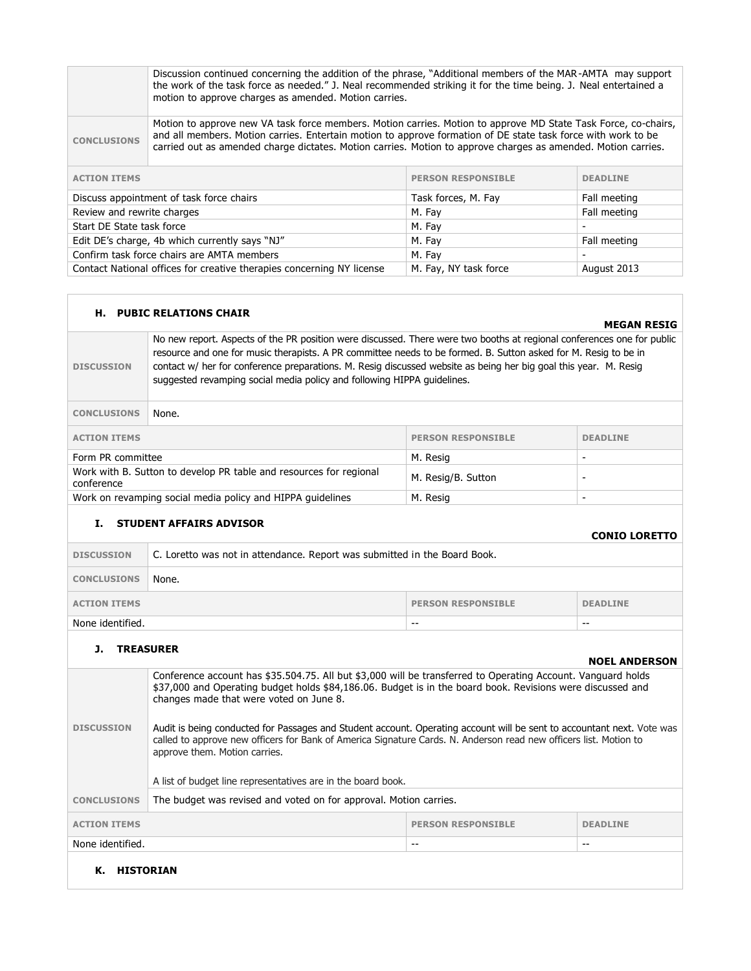|                                                                                                               | Discussion continued concerning the addition of the phrase, "Additional members of the MAR-AMTA may support<br>the work of the task force as needed." J. Neal recommended striking it for the time being. J. Neal entertained a<br>motion to approve charges as amended. Motion carries.                                                         |  |  |  |
|---------------------------------------------------------------------------------------------------------------|--------------------------------------------------------------------------------------------------------------------------------------------------------------------------------------------------------------------------------------------------------------------------------------------------------------------------------------------------|--|--|--|
| <b>CONCLUSIONS</b>                                                                                            | Motion to approve new VA task force members. Motion carries. Motion to approve MD State Task Force, co-chairs,<br>and all members. Motion carries. Entertain motion to approve formation of DE state task force with work to be<br>carried out as amended charge dictates. Motion carries. Motion to approve charges as amended. Motion carries. |  |  |  |
| <b>ACTION ITEMS</b>                                                                                           | <b>PERSON RESPONSIBLE</b><br><b>DEADLINE</b>                                                                                                                                                                                                                                                                                                     |  |  |  |
|                                                                                                               | Discuss appointment of task force chairs<br>Fall meeting<br>Task forces, M. Fay                                                                                                                                                                                                                                                                  |  |  |  |
|                                                                                                               | Review and rewrite charges<br>Fall meeting<br>M. Fay                                                                                                                                                                                                                                                                                             |  |  |  |
|                                                                                                               | Start DE State task force<br>M. Fay                                                                                                                                                                                                                                                                                                              |  |  |  |
| Edit DE's charge, 4b which currently says "NJ"<br>M. Fay<br>Fall meeting                                      |                                                                                                                                                                                                                                                                                                                                                  |  |  |  |
| Confirm task force chairs are AMTA members<br>M. Fay                                                          |                                                                                                                                                                                                                                                                                                                                                  |  |  |  |
| Contact National offices for creative therapies concerning NY license<br>M. Fay, NY task force<br>August 2013 |                                                                                                                                                                                                                                                                                                                                                  |  |  |  |

## **H. PUBIC RELATIONS CHAIR**

## **MEGAN RESIG**

**DISCUSSION** No new report. Aspects of the PR position were discussed. There were two booths at regional conferences one for public resource and one for music therapists. A PR committee needs to be formed. B. Sutton asked for M. Resig to be in contact w/ her for conference preparations. M. Resig discussed website as being her big goal this year. M. Resig suggested revamping social media policy and following HIPPA guidelines.

| <b>CONCLUSIONS</b><br>None.                                                      |                           |                 |
|----------------------------------------------------------------------------------|---------------------------|-----------------|
| <b>ACTION ITEMS</b>                                                              | <b>PERSON RESPONSIBLE</b> | <b>DEADLINE</b> |
| Form PR committee                                                                | M. Resig                  | -               |
| Work with B. Sutton to develop PR table and resources for regional<br>conference | M. Resig/B. Sutton        |                 |
| Work on revamping social media policy and HIPPA quidelines                       | M. Resig                  | -               |

# **I. STUDENT AFFAIRS ADVISOR**

## **CONIO LORETTO**

| <b>DISCUSSION</b>                                                   | C. Loretto was not in attendance. Report was submitted in the Board Book. |       |       |
|---------------------------------------------------------------------|---------------------------------------------------------------------------|-------|-------|
| <b>CONCLUSIONS</b>                                                  | None.                                                                     |       |       |
| <b>PERSON RESPONSIBLE</b><br><b>DEADLINE</b><br><b>ACTION ITEMS</b> |                                                                           |       |       |
| None identified.                                                    |                                                                           | $- -$ | $- -$ |

# **J. TREASURER**

|                              |                                                                                                                                                                                                                                                                                                                                                                                                                                                                                                                                                                                                                       |  | <b>NOEL ANDERSON</b> |  |
|------------------------------|-----------------------------------------------------------------------------------------------------------------------------------------------------------------------------------------------------------------------------------------------------------------------------------------------------------------------------------------------------------------------------------------------------------------------------------------------------------------------------------------------------------------------------------------------------------------------------------------------------------------------|--|----------------------|--|
| <b>DISCUSSION</b>            | Conference account has \$35.504.75. All but \$3,000 will be transferred to Operating Account. Vanguard holds<br>\$37,000 and Operating budget holds \$84,186.06. Budget is in the board book. Revisions were discussed and<br>changes made that were voted on June 8.<br>Audit is being conducted for Passages and Student account. Operating account will be sent to accountant next. Vote was<br>called to approve new officers for Bank of America Signature Cards. N. Anderson read new officers list. Motion to<br>approve them. Motion carries.<br>A list of budget line representatives are in the board book. |  |                      |  |
| <b>CONCLUSIONS</b>           | The budget was revised and voted on for approval. Motion carries.                                                                                                                                                                                                                                                                                                                                                                                                                                                                                                                                                     |  |                      |  |
| <b>ACTION ITEMS</b>          | <b>PERSON RESPONSIBLE</b><br><b>DEADLINE</b>                                                                                                                                                                                                                                                                                                                                                                                                                                                                                                                                                                          |  |                      |  |
| None identified.<br>--<br>-- |                                                                                                                                                                                                                                                                                                                                                                                                                                                                                                                                                                                                                       |  |                      |  |
| К.<br><b>HISTORIAN</b>       |                                                                                                                                                                                                                                                                                                                                                                                                                                                                                                                                                                                                                       |  |                      |  |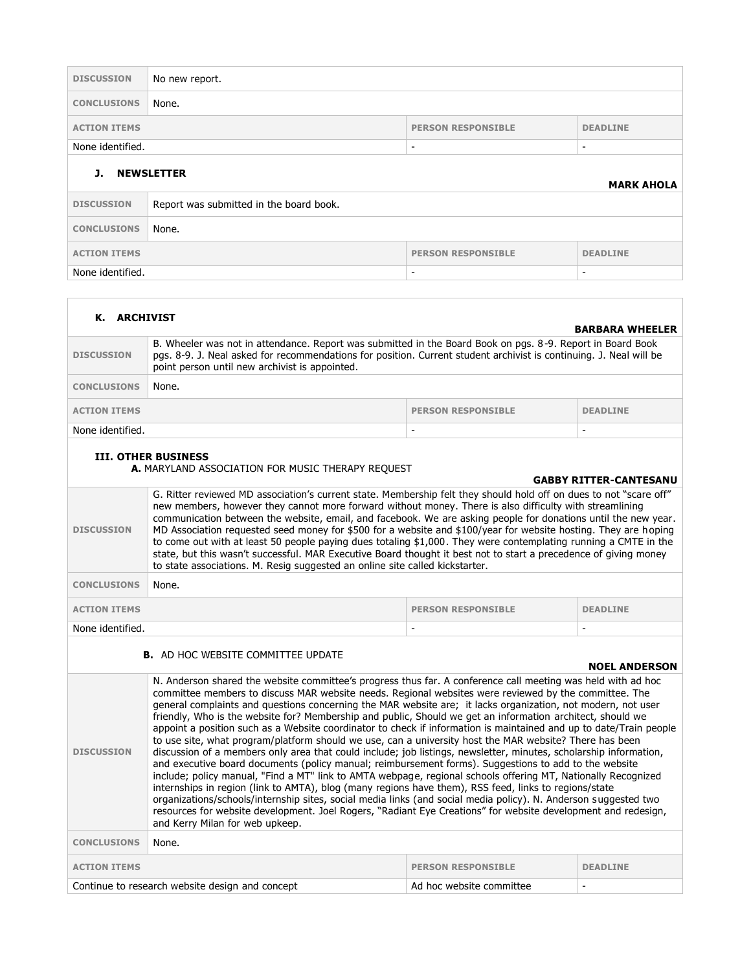| <b>DISCUSSION</b>                            | No new report.                          |                           |                 |
|----------------------------------------------|-----------------------------------------|---------------------------|-----------------|
| <b>CONCLUSIONS</b>                           | None.                                   |                           |                 |
| <b>ACTION ITEMS</b>                          |                                         | <b>PERSON RESPONSIBLE</b> | <b>DEADLINE</b> |
| None identified.                             |                                         | $\overline{\phantom{a}}$  | $\sim$          |
| <b>NEWSLETTER</b><br>J.<br><b>MARK AHOLA</b> |                                         |                           |                 |
| <b>DISCUSSION</b>                            | Report was submitted in the board book. |                           |                 |
|                                              | None.                                   |                           |                 |
| <b>CONCLUSIONS</b>                           |                                         |                           |                 |
| <b>ACTION ITEMS</b>                          |                                         | <b>PERSON RESPONSIBLE</b> | <b>DEADLINE</b> |

| K. ARCHIVIST                                                                                                     |                                                                                                                                                                                                                                                                                                                                                                                                                                                                                                                                                                                                                                                                                                                                                                                                                                                                                                                                                                                                                                                                                                                                                                                                                                                                                                                                                                                                                     |                           | <b>BARBARA WHEELER</b> |  |
|------------------------------------------------------------------------------------------------------------------|---------------------------------------------------------------------------------------------------------------------------------------------------------------------------------------------------------------------------------------------------------------------------------------------------------------------------------------------------------------------------------------------------------------------------------------------------------------------------------------------------------------------------------------------------------------------------------------------------------------------------------------------------------------------------------------------------------------------------------------------------------------------------------------------------------------------------------------------------------------------------------------------------------------------------------------------------------------------------------------------------------------------------------------------------------------------------------------------------------------------------------------------------------------------------------------------------------------------------------------------------------------------------------------------------------------------------------------------------------------------------------------------------------------------|---------------------------|------------------------|--|
| <b>DISCUSSION</b>                                                                                                | B. Wheeler was not in attendance. Report was submitted in the Board Book on pgs. 8-9. Report in Board Book<br>pgs. 8-9. J. Neal asked for recommendations for position. Current student archivist is continuing. J. Neal will be<br>point person until new archivist is appointed.                                                                                                                                                                                                                                                                                                                                                                                                                                                                                                                                                                                                                                                                                                                                                                                                                                                                                                                                                                                                                                                                                                                                  |                           |                        |  |
| <b>CONCLUSIONS</b>                                                                                               | None.                                                                                                                                                                                                                                                                                                                                                                                                                                                                                                                                                                                                                                                                                                                                                                                                                                                                                                                                                                                                                                                                                                                                                                                                                                                                                                                                                                                                               |                           |                        |  |
| <b>ACTION ITEMS</b>                                                                                              |                                                                                                                                                                                                                                                                                                                                                                                                                                                                                                                                                                                                                                                                                                                                                                                                                                                                                                                                                                                                                                                                                                                                                                                                                                                                                                                                                                                                                     | <b>PERSON RESPONSIBLE</b> | <b>DEADLINE</b>        |  |
| None identified.                                                                                                 |                                                                                                                                                                                                                                                                                                                                                                                                                                                                                                                                                                                                                                                                                                                                                                                                                                                                                                                                                                                                                                                                                                                                                                                                                                                                                                                                                                                                                     |                           |                        |  |
| <b>III. OTHER BUSINESS</b><br>A. MARYLAND ASSOCIATION FOR MUSIC THERAPY REQUEST<br><b>GABBY RITTER-CANTESANU</b> |                                                                                                                                                                                                                                                                                                                                                                                                                                                                                                                                                                                                                                                                                                                                                                                                                                                                                                                                                                                                                                                                                                                                                                                                                                                                                                                                                                                                                     |                           |                        |  |
| <b>DISCUSSION</b>                                                                                                | G. Ritter reviewed MD association's current state. Membership felt they should hold off on dues to not "scare off"<br>new members, however they cannot more forward without money. There is also difficulty with streamlining<br>communication between the website, email, and facebook. We are asking people for donations until the new year.<br>MD Association requested seed money for \$500 for a website and \$100/year for website hosting. They are hoping<br>to come out with at least 50 people paying dues totaling \$1,000. They were contemplating running a CMTE in the<br>state, but this wasn't successful. MAR Executive Board thought it best not to start a precedence of giving money<br>to state associations. M. Resig suggested an online site called kickstarter.                                                                                                                                                                                                                                                                                                                                                                                                                                                                                                                                                                                                                           |                           |                        |  |
| <b>CONCLUSIONS</b>                                                                                               | None.                                                                                                                                                                                                                                                                                                                                                                                                                                                                                                                                                                                                                                                                                                                                                                                                                                                                                                                                                                                                                                                                                                                                                                                                                                                                                                                                                                                                               |                           |                        |  |
| <b>ACTION ITEMS</b>                                                                                              |                                                                                                                                                                                                                                                                                                                                                                                                                                                                                                                                                                                                                                                                                                                                                                                                                                                                                                                                                                                                                                                                                                                                                                                                                                                                                                                                                                                                                     | <b>PERSON RESPONSIBLE</b> | <b>DEADLINE</b>        |  |
| None identified.                                                                                                 |                                                                                                                                                                                                                                                                                                                                                                                                                                                                                                                                                                                                                                                                                                                                                                                                                                                                                                                                                                                                                                                                                                                                                                                                                                                                                                                                                                                                                     |                           |                        |  |
|                                                                                                                  | <b>B.</b> AD HOC WEBSITE COMMITTEE UPDATE                                                                                                                                                                                                                                                                                                                                                                                                                                                                                                                                                                                                                                                                                                                                                                                                                                                                                                                                                                                                                                                                                                                                                                                                                                                                                                                                                                           |                           | <b>NOEL ANDERSON</b>   |  |
| <b>DISCUSSION</b>                                                                                                | N. Anderson shared the website committee's progress thus far. A conference call meeting was held with ad hoc<br>committee members to discuss MAR website needs. Regional websites were reviewed by the committee. The<br>general complaints and questions concerning the MAR website are; it lacks organization, not modern, not user<br>friendly, Who is the website for? Membership and public, Should we get an information architect, should we<br>appoint a position such as a Website coordinator to check if information is maintained and up to date/Train people<br>to use site, what program/platform should we use, can a university host the MAR website? There has been<br>discussion of a members only area that could include; job listings, newsletter, minutes, scholarship information,<br>and executive board documents (policy manual; reimbursement forms). Suggestions to add to the website<br>include; policy manual, "Find a MT" link to AMTA webpage, regional schools offering MT, Nationally Recognized<br>internships in region (link to AMTA), blog (many regions have them), RSS feed, links to regions/state<br>organizations/schools/internship sites, social media links (and social media policy). N. Anderson suggested two<br>resources for website development. Joel Rogers, "Radiant Eye Creations" for website development and redesign,<br>and Kerry Milan for web upkeep. |                           |                        |  |
| <b>CONCLUSIONS</b>                                                                                               | None.                                                                                                                                                                                                                                                                                                                                                                                                                                                                                                                                                                                                                                                                                                                                                                                                                                                                                                                                                                                                                                                                                                                                                                                                                                                                                                                                                                                                               |                           |                        |  |
| <b>ACTION ITEMS</b>                                                                                              |                                                                                                                                                                                                                                                                                                                                                                                                                                                                                                                                                                                                                                                                                                                                                                                                                                                                                                                                                                                                                                                                                                                                                                                                                                                                                                                                                                                                                     | <b>PERSON RESPONSIBLE</b> | <b>DEADLINE</b>        |  |
| Continue to research website design and concept<br>Ad hoc website committee                                      |                                                                                                                                                                                                                                                                                                                                                                                                                                                                                                                                                                                                                                                                                                                                                                                                                                                                                                                                                                                                                                                                                                                                                                                                                                                                                                                                                                                                                     |                           |                        |  |